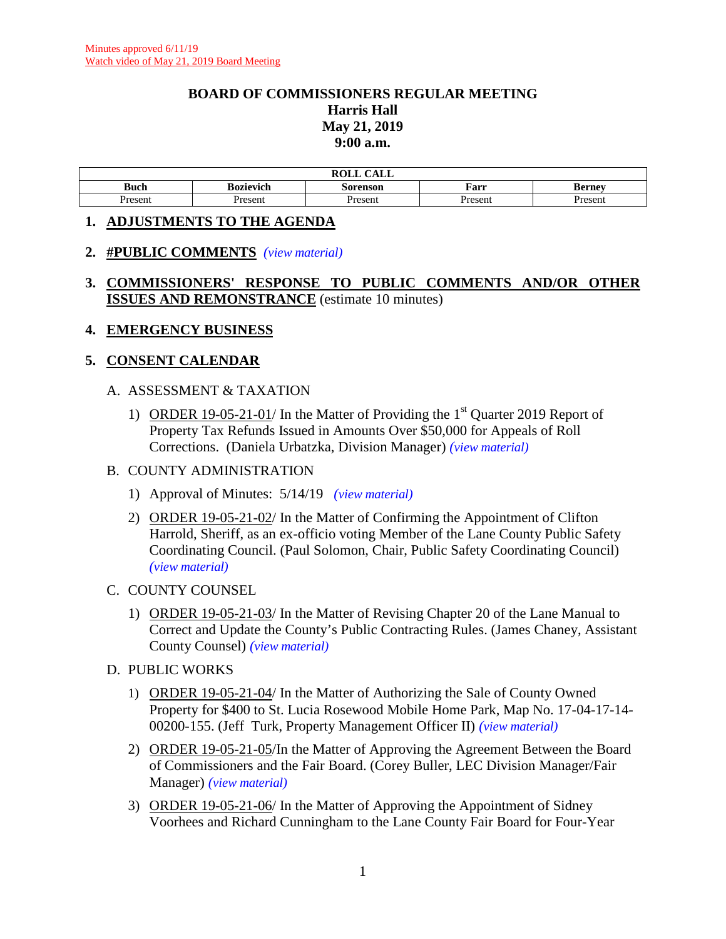#### **BOARD OF COMMISSIONERS REGULAR MEETING Harris Hall May 21, 2019 9:00 a.m.**

|             |           | ROLL.<br>$C$ a $T$ $T$<br>rvll<br>All |         |              |
|-------------|-----------|---------------------------------------|---------|--------------|
| <b>Buch</b> | Bozievich | Sorenson                              | Farr    | Bernev<br>DU |
| Present     | Present   | Present                               | Present | resent       |

#### **1. ADJUSTMENTS TO THE AGENDA**

#### **2. #PUBLIC COMMENTS** *(view [material\)](http://www.lanecounty.org/UserFiles/Servers/Server_3585797/File/Government/BCC/2019/2019_AGENDAS/052119agenda/T.2.APublicComment_52119pdf.pdf)*

## **3. COMMISSIONERS' RESPONSE TO PUBLIC COMMENTS AND/OR OTHER ISSUES AND REMONSTRANCE** (estimate 10 minutes)

#### **4. EMERGENCY BUSINESS**

## **5. CONSENT CALENDAR**

#### A. ASSESSMENT & TAXATION

1) ORDER 19-05-21-01/ In the Matter of Providing the  $1<sup>st</sup>$  Quarter 2019 Report of Property Tax Refunds Issued in Amounts Over \$50,000 for Appeals of Roll Corrections. (Daniela Urbatzka, Division Manager) *(view [material\)](http://www.lanecounty.org/UserFiles/Servers/Server_3585797/File/Government/BCC/2019/2019_AGENDAS/052119agenda/T.5.A.1.pdf)*

#### B. COUNTY ADMINISTRATION

- 1) Approval of Minutes: 5/14/19 *(view [material\)](http://www.lanecounty.org/UserFiles/Servers/Server_3585797/File/Government/BCC/2019/2019_AGENDAS/052119agenda/T.5.B.1.pdf)*
- 2) ORDER 19-05-21-02/ In the Matter of Confirming the Appointment of Clifton Harrold, Sheriff, as an ex-officio voting Member of the Lane County Public Safety Coordinating Council. (Paul Solomon, Chair, Public Safety Coordinating Council) *(view [material\)](http://www.lanecounty.org/UserFiles/Servers/Server_3585797/File/Government/BCC/2019/2019_AGENDAS/052119agenda/T.5.B.2.pdf)*

#### C. COUNTY COUNSEL

1) ORDER 19-05-21-03/ In the Matter of Revising Chapter 20 of the Lane Manual to Correct and Update the County's Public Contracting Rules. (James Chaney, Assistant County Counsel) *(view [material\)](http://www.lanecounty.org/UserFiles/Servers/Server_3585797/File/Government/BCC/2019/2019_AGENDAS/052119agenda/T.5.C.1.pdf)*

#### D. PUBLIC WORKS

- 1) ORDER 19-05-21-04/ In the Matter of Authorizing the Sale of County Owned Property for \$400 to St. Lucia Rosewood Mobile Home Park, Map No. 17-04-17-14- 00200-155. (Jeff Turk, Property Management Officer II) *(view [material\)](http://www.lanecounty.org/UserFiles/Servers/Server_3585797/File/Government/BCC/2019/2019_AGENDAS/052119agenda/T.5.D.1.pdf)*
- 2) ORDER 19-05-21-05/In the Matter of Approving the Agreement Between the Board of Commissioners and the Fair Board. (Corey Buller, LEC Division Manager/Fair Manager) *(view [material\)](http://www.lanecounty.org/UserFiles/Servers/Server_3585797/File/Government/BCC/2019/2019_AGENDAS/052119agenda/T.5.D.2.pdf)*
- 3) ORDER 19-05-21-06/ In the Matter of Approving the Appointment of Sidney Voorhees and Richard Cunningham to the Lane County Fair Board for Four-Year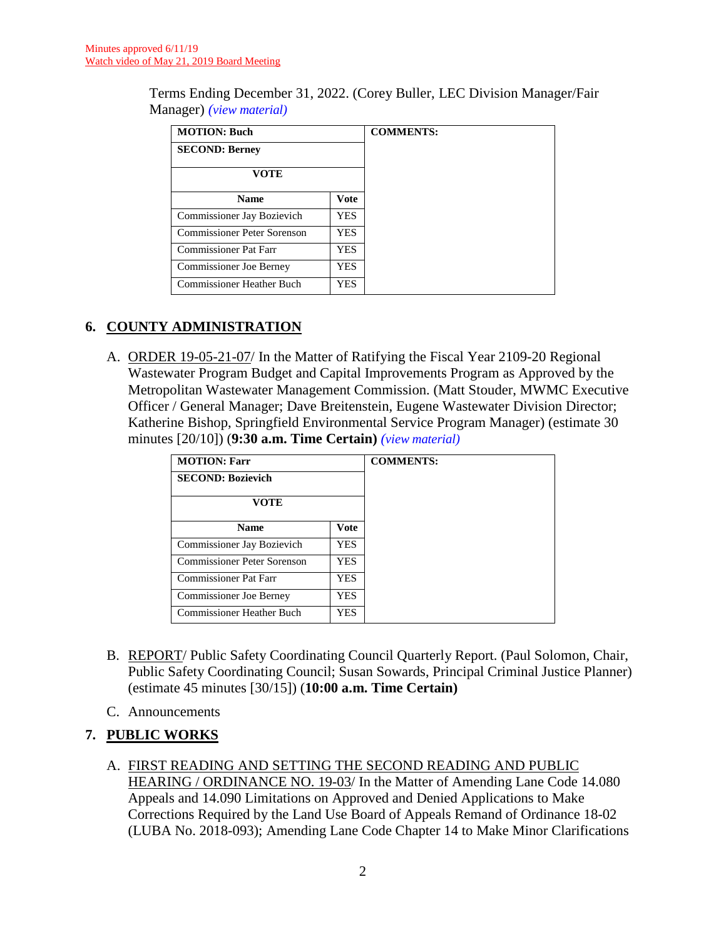Terms Ending December 31, 2022. (Corey Buller, LEC Division Manager/Fair Manager) *(view [material\)](http://www.lanecounty.org/UserFiles/Servers/Server_3585797/File/Government/BCC/2019/2019_AGENDAS/052119agenda/T.5.D.3.pdf)*

| <b>MOTION: Buch</b>            |      | <b>COMMENTS:</b> |
|--------------------------------|------|------------------|
| <b>SECOND: Berney</b>          |      |                  |
| VOTE                           |      |                  |
| <b>Name</b>                    | Vote |                  |
| Commissioner Jay Bozievich     | YES. |                  |
| Commissioner Peter Sorenson    | YES. |                  |
| Commissioner Pat Farr          | YES. |                  |
| <b>Commissioner Joe Berney</b> | YES. |                  |
| Commissioner Heather Buch      | YES. |                  |

# **6. COUNTY ADMINISTRATION**

A. ORDER 19-05-21-07/ In the Matter of Ratifying the Fiscal Year 2109-20 Regional Wastewater Program Budget and Capital Improvements Program as Approved by the Metropolitan Wastewater Management Commission. (Matt Stouder, MWMC Executive Officer / General Manager; Dave Breitenstein, Eugene Wastewater Division Director; Katherine Bishop, Springfield Environmental Service Program Manager) (estimate 30 minutes [20/10]) (**9:30 a.m. Time Certain)** *(view [material\)](http://www.lanecounty.org/UserFiles/Servers/Server_3585797/File/Government/BCC/2019/2019_AGENDAS/052119agenda/T.6.A.pdf)*

| <b>MOTION: Farr</b>              |            | <b>COMMENTS:</b> |
|----------------------------------|------------|------------------|
| <b>SECOND: Bozievich</b>         |            |                  |
| VOTE                             |            |                  |
| <b>Name</b>                      | Vote       |                  |
| Commissioner Jay Bozievich       | YES.       |                  |
| Commissioner Peter Sorenson      | <b>YES</b> |                  |
| <b>Commissioner Pat Farr</b>     | YES.       |                  |
| Commissioner Joe Berney          | YES.       |                  |
| <b>Commissioner Heather Buch</b> | <b>YES</b> |                  |

- B. REPORT/ Public Safety Coordinating Council Quarterly Report. (Paul Solomon, Chair, Public Safety Coordinating Council; Susan Sowards, Principal Criminal Justice Planner) (estimate 45 minutes [30/15]) (**10:00 a.m. Time Certain)**
- C. Announcements

# **7. PUBLIC WORKS**

A. FIRST READING AND SETTING THE SECOND READING AND PUBLIC HEARING / ORDINANCE NO. 19-03/ In the Matter of Amending Lane Code 14.080 Appeals and 14.090 Limitations on Approved and Denied Applications to Make Corrections Required by the Land Use Board of Appeals Remand of Ordinance 18-02 (LUBA No. 2018-093); Amending Lane Code Chapter 14 to Make Minor Clarifications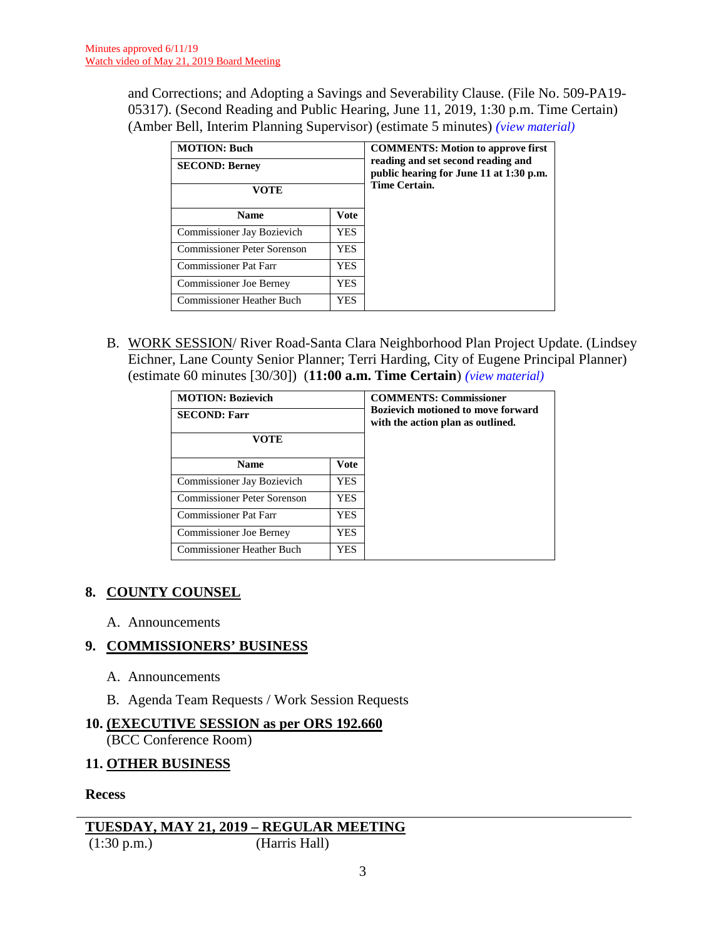and Corrections; and Adopting a Savings and Severability Clause. (File No. 509-PA19- 05317). (Second Reading and Public Hearing, June 11, 2019, 1:30 p.m. Time Certain) (Amber Bell, Interim Planning Supervisor) (estimate 5 minutes) *(view [material\)](http://www.lanecounty.org/UserFiles/Servers/Server_3585797/File/Government/BCC/2019/2019_AGENDAS/052119agenda/T.7.A.pdf)*

| <b>MOTION: Buch</b><br><b>SECOND: Berney</b><br>VOTE |      | <b>COMMENTS: Motion to approve first</b><br>reading and set second reading and<br>public hearing for June 11 at 1:30 p.m.<br><b>Time Certain.</b> |
|------------------------------------------------------|------|---------------------------------------------------------------------------------------------------------------------------------------------------|
| <b>Name</b>                                          | Vote |                                                                                                                                                   |
| Commissioner Jay Bozievich                           | YES. |                                                                                                                                                   |
| <b>Commissioner Peter Sorenson</b>                   | YES. |                                                                                                                                                   |
| <b>Commissioner Pat Farr</b>                         | YES. |                                                                                                                                                   |
| <b>Commissioner Joe Berney</b>                       | YES  |                                                                                                                                                   |
| <b>Commissioner Heather Buch</b>                     | YES. |                                                                                                                                                   |

B. WORK SESSION/ River Road-Santa Clara Neighborhood Plan Project Update. (Lindsey Eichner, Lane County Senior Planner; Terri Harding, City of Eugene Principal Planner) (estimate 60 minutes [30/30]) (**11:00 a.m. Time Certain**) *(view [material\)](http://www.lanecounty.org/UserFiles/Servers/Server_3585797/File/Government/BCC/2019/2019_AGENDAS/052119agenda/T.7.B.pdf)*

| <b>MOTION: Bozievich</b><br><b>SECOND: Farr</b><br>VOTE |      | <b>COMMENTS: Commissioner</b><br><b>Bozievich motioned to move forward</b><br>with the action plan as outlined. |
|---------------------------------------------------------|------|-----------------------------------------------------------------------------------------------------------------|
| <b>Name</b>                                             | Vote |                                                                                                                 |
| Commissioner Jay Bozievich                              | YES. |                                                                                                                 |
| Commissioner Peter Sorenson                             | YES. |                                                                                                                 |
| <b>Commissioner Pat Farr</b>                            | YES. |                                                                                                                 |
| Commissioner Joe Berney                                 | YES. |                                                                                                                 |
| Commissioner Heather Buch                               | YES  |                                                                                                                 |

# **8. COUNTY COUNSEL**

A. Announcements

## **9. COMMISSIONERS' BUSINESS**

- A. Announcements
- B. Agenda Team Requests / Work Session Requests

# **10. (EXECUTIVE SESSION as per ORS 192.660**

(BCC Conference Room)

## **11. OTHER BUSINESS**

**Recess** 

```
TUESDAY, MAY 21, 2019 – REGULAR MEETING
(1:30 \text{ p.m.})
```